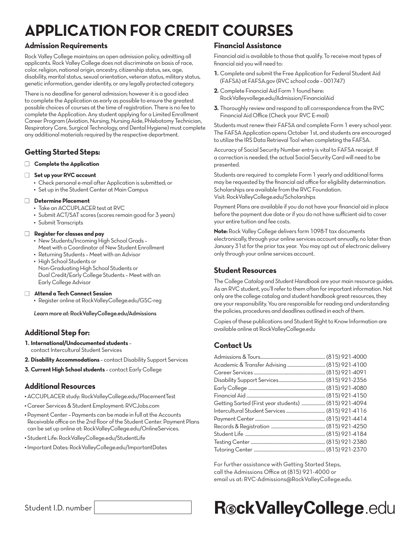# **APPLICATION FOR CREDIT COURSES**

### **Admission Requirements**

Rock Valley College maintains an open admission policy, admitting all applicants. Rock Valley College does not discriminate on basis of race, color, religion, national origin, ancestry, citizenship status, sex, age, disability, marital status, sexual orientation, veteran status, military status, genetic information, gender identity, or any legally protected category.

There is no deadline for general admission; however it is a good idea to complete the Application as early as possible to ensure the greatest possible choices of courses at the time of registration. There is no fee to complete the Application. Any student applying for a Limited Enrollment Career Program (Aviation, Nursing, Nursing Aide, Phlebotomy Technician, Respiratory Care, Surgical Technology, and Dental Hygiene) must complete any additional materials required by the respective department.

## **Getting Started Steps:**

### □ Complete the Application

### **Set up your RVC account**

- **•** Check personal e-mail after Application is submitted; or
- **•** Set up in the Student Center at Main Campus

### **n** Determine Placement

- **•** Take an ACCUPLACER test at RVC
- **•** Submit ACT/SAT scores (scores remain good for 3 years)
- **•** Submit Transcripts

### n **Register for classes and pay**

- **•** New Students/Incoming High School Grads Meet with a Coordinator of New Student Enrollment
- **•** Returning Students Meet with an Advisor **•** High School Students or
- Non-Graduating High School Students or Dual Credit/Early College Students – Meet with an Early College Advisor

### n **Attend a Tech Connect Session**

**•** Register online at RockValleyCollege.edu/GSC-reg

*Learn more at:* RockValleyCollege.edu/Admissions

## **Additional Step for:**

**1. International/Undocumented students** –

contact Intercultural Student Services

- **2. Disability Accommodations**  contact Disability Support Services
- **3. Current High School students** contact Early College

### **Additional Resources**

**•** ACCUPLACER study: RockValleyCollege.edu/PlacementTest

- **•** Career Services & Student Employment: RVCJobs.com
- **•** Payment Center Payments can be made in full at the Accounts Receivable office on the 2nd floor of the Student Center. Payment Plans can be set up online at: RockValleyCollege.edu/OnlineServices.
- **•** Student Life: RockValleyCollege.edu/StudentLife
- **•** Important Dates: RockValleyCollege.edu/ImportantDates

### **Financial Assistance**

Financial aid is available to those that qualify. To receive most types of financial aid you will need to:

- **1.** Complete and submit the Free Application for Federal Student Aid (FAFSA) at FAFSA.gov (RVC school code – 001747)
- **2.** Complete Financial Aid Form 1 found here: RockValleyvollege.edu/Admission/FinancialAid
- **3.** Thoroughly review and respond to all correspondence from the RVC Financial Aid Office (Check your RVC E-mail)

Students must renew their FAFSA and complete Form 1 every school year. The FAFSA Application opens October 1st, and students are encouraged to utilize the IRS Data Retrieval Tool when completing the FAFSA.

Accuracy of Social Security Number entry is vital to FAFSA receipt. If a correction is needed, the actual Social Security Card will need to be presented.

Students are required to complete Form 1 yearly and additional forms may be requested by the financial aid office for eligibility determination. Scholarships are available from the RVC Foundation. Visit: RockValleyCollege.edu/Scholarships

Payment Plans are available if you do not have your financial aid in place before the payment due date or if you do not have sufficient aid to cover your entire tuition and fee costs.

**Note:** Rock Valley College delivers form 1098-T tax documents electronically, through your online services account annually, no later than January 31st for the prior tax year. You may opt out of electronic delivery only through your online services account.

## **Student Resources**

The *College Catalog* and *Student Handbook* are your main resource guides. As an RVC student, you'll refer to them often for important information. Not only are the college catalog and student handbook great resources, they are your responsibility. You are responsible for reading and understanding the policies, procedures and deadlines outlined in each of them.

Copies of these publications and Student Right to Know Information are available online at RockValleyCollege.edu

## **Contact Us**

| Getting Sarted (First year students)  (815) 921-4094 |  |
|------------------------------------------------------|--|
|                                                      |  |
|                                                      |  |
|                                                      |  |
|                                                      |  |
|                                                      |  |
|                                                      |  |

For further assistance with Getting Started Steps, call the Admissions Office at (815) 921-4000 or email us at: RVC-Admissions@RockValleyCollege.edu.

# Student I.D. number **RockValleyCollege**.edu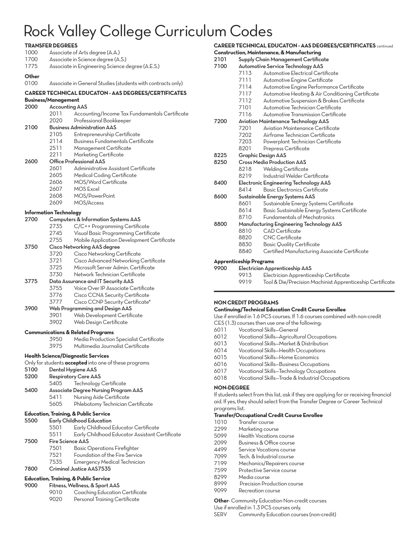## Rock Valley College Curriculum Codes

|       | <b>TRANSFER DEGREES</b>                                      |  |  |  |
|-------|--------------------------------------------------------------|--|--|--|
| 1000  | Associate of Arts degree (A.A.)                              |  |  |  |
| 1700  | Associate in Science degree (A.S.)                           |  |  |  |
| 1775  | Associate in Engineering Science degree (A.E.S.)             |  |  |  |
|       |                                                              |  |  |  |
| Other |                                                              |  |  |  |
| 0100  | Associate in General Studies (students with contracts only)  |  |  |  |
|       | <b>CAREER TECHNICAL EDUCATON - AAS DEGREES/CERTIFICATES</b>  |  |  |  |
|       | <b>Business/Management</b>                                   |  |  |  |
| 2000  | <b>Accounting AAS</b>                                        |  |  |  |
|       | 2011<br>Accounting/Income Tax Fundamentals Certificate       |  |  |  |
|       | Professional Bookkeeper<br>2020                              |  |  |  |
| 2100  | <b>Business Administration AAS</b>                           |  |  |  |
|       | 2105<br>Entrepreneurship Certificate                         |  |  |  |
|       | 2114<br>Business Fundamentals Certificate                    |  |  |  |
|       | 2511<br>Management Certificate                               |  |  |  |
|       | 2211                                                         |  |  |  |
|       | Marketing Certificate                                        |  |  |  |
| 2600  | Office Professional AAS                                      |  |  |  |
|       | 2601<br>Administrative Assistant Certificate                 |  |  |  |
|       | 2605<br><b>Medical Coding Certificate</b>                    |  |  |  |
|       | 2606<br>MOS/Word Certificate                                 |  |  |  |
|       | <b>MOS Excel</b><br>2607                                     |  |  |  |
|       | 2608<br>MOS/PowerPoint                                       |  |  |  |
|       | 2609<br>MOS/Access                                           |  |  |  |
|       | <b>Information Technology</b>                                |  |  |  |
| 2700  | Computers & Information Systems AAS                          |  |  |  |
|       | 2735<br>C/C++ Programming Certificate                        |  |  |  |
|       | 2745<br>Visual Basic Programming Certificate                 |  |  |  |
|       | 2755<br>Mobile Application Development Certificate           |  |  |  |
| 3750  | Cisco Networking AAS degree                                  |  |  |  |
|       | 3720<br>Cisco Networking Certificate                         |  |  |  |
|       | 3721<br>Cisco Advanced Networking Certificate                |  |  |  |
|       |                                                              |  |  |  |
|       | Microsoft Server Admin. Certificate<br>3725                  |  |  |  |
|       | 3730<br>Network Technician Certificate                       |  |  |  |
| 3775  | Data Assurance and IT Security AAS                           |  |  |  |
|       | 3755<br>Voice Over IP Associate Certificate                  |  |  |  |
|       | 3776<br>Cisco CCNA Security Certificate                      |  |  |  |
|       | 3777<br>Cisco CCNP Security Certificate*                     |  |  |  |
| 3900  | Web Programming and Design AAS                               |  |  |  |
|       | 3901<br>Web Development Certificate                          |  |  |  |
|       | 3902<br>Web Design Certificate                               |  |  |  |
|       | <b>Communications &amp; Related Programs</b>                 |  |  |  |
|       | 3950<br>Media Production Specialist Certificate              |  |  |  |
|       | 3975<br>Multimedia Journalist Certificate                    |  |  |  |
|       |                                                              |  |  |  |
|       | <b>Health Science/Diagnostic Services</b>                    |  |  |  |
|       | Only for students <b>accepted</b> into one of these programs |  |  |  |
| 5100  | Dental Hygiene AAS                                           |  |  |  |
| 5200  | <b>Respiratory Care AAS</b>                                  |  |  |  |
|       | Technology Certificate<br>5405                               |  |  |  |
| 5400  | <b>Associate Degree Nursing Program AAS</b>                  |  |  |  |
|       | 5411<br>Nursing Aide Certificate                             |  |  |  |
|       | 5605<br>Phlebotomy Technician Certificate                    |  |  |  |
|       | <b>Education, Training, &amp; Public Service</b>             |  |  |  |
| 5500  | <b>Early Childhood Education</b>                             |  |  |  |
|       | Early Childhood Educator Certificate                         |  |  |  |
|       | 5501                                                         |  |  |  |
|       | 5511<br>Early Childhood Educator Assistant Certificate       |  |  |  |
| 7500  | <b>Fire Science AAS</b>                                      |  |  |  |
|       | 7501<br><b>Basic Operations Firefighter</b>                  |  |  |  |
|       | 7521<br>Foundation of the Fire Service                       |  |  |  |
|       | 7535<br>Emergency Medical Technician                         |  |  |  |
| 7800  | Criminal Justice AAS7535                                     |  |  |  |
|       | Education, Training, & Public Service                        |  |  |  |
| 9000  | Fitness, Wellness, & Sport AAS                               |  |  |  |
|       | 9010<br>Coaching Education Certificate                       |  |  |  |
|       | 9020<br>Personal Training Certificate                        |  |  |  |

|      |                                          | <b>CAREER TECHNICAL EDUCATON - AAS DEGREES/CERTIFICATES</b> continued |  |  |
|------|------------------------------------------|-----------------------------------------------------------------------|--|--|
|      |                                          | <b>Construction, Maintenance, &amp; Manufacturing</b>                 |  |  |
| 2101 | Supply Chain Management Certificate      |                                                                       |  |  |
| 7100 | <b>Automotive Service Technology AAS</b> |                                                                       |  |  |
|      | 7113                                     | Automotive Electrical Certificate                                     |  |  |
|      | 7111                                     | Automotive Engine Certificate                                         |  |  |
|      | 7114                                     | Automotive Engine Performance Certificate                             |  |  |
|      | 7117                                     | Automotive Heating & Air Conditioning Certificate                     |  |  |
|      | 7112                                     | Automotive Suspension & Brakes Certificate                            |  |  |
|      | 7101                                     | Automotive Technician Certificate                                     |  |  |
|      | 7116                                     | Automotive Transmission Certificate                                   |  |  |
| 7200 |                                          | <b>Aviation Maintenance Technology AAS</b>                            |  |  |
|      | 7201                                     | Aviation Maintenance Certificate                                      |  |  |
|      | 7202                                     | Airframe Technician Certificate                                       |  |  |
|      | 7203                                     | Powerplant Technician Certificate                                     |  |  |
|      | 8201                                     | Prepress Certificate                                                  |  |  |
| 8225 | <b>Graphic Design AAS</b>                |                                                                       |  |  |
| 8250 |                                          | <b>Cross Media Production AAS</b>                                     |  |  |
|      | 8218                                     | <b>Welding Certificate</b>                                            |  |  |
|      | 8219                                     | Industrial Welder Certificate                                         |  |  |
| 8400 |                                          | Electronic Engineering Technology AAS                                 |  |  |
|      | 8414                                     | Basic Electronics Certificate                                         |  |  |
| 8600 |                                          | Sustainable Energy Systems AAS                                        |  |  |
|      | 8601                                     | Sustainable Energy Systems Certificate                                |  |  |
|      | 8614                                     | Basic Sustainable Energy Systems Certificate                          |  |  |
|      | 8710                                     | <b>Fundamentals of Mechatronics</b>                                   |  |  |
| 8800 |                                          | Manufacturing Engineering Technology AAS                              |  |  |
|      | 8810                                     | <b>CAD</b> Certificate                                                |  |  |
|      | 8820                                     | <b>CNC</b> Certificate                                                |  |  |
|      | 8830                                     | <b>Basic Quality Certificate</b>                                      |  |  |
|      | 8840                                     | Certified Manufacturing Associate Certificate                         |  |  |
|      | <b>Apprenticeship Programs</b>           |                                                                       |  |  |
| 9900 |                                          | Electrician Apprenticeship AAS                                        |  |  |
|      | 9913                                     | Electrician Apprenticeship Certificate                                |  |  |
|      | 9919                                     | Tool & Die/Precision Machinist Apprenticeship Certificate             |  |  |
|      |                                          |                                                                       |  |  |

### **NON CREDIT PROGRAMS**

#### **Continuing/Technical Education Credit Course Enrollee**

Use if enrolled in 1.6 PCS courses. If 1.6 courses combined with non-credit

- CES (1.3) courses then use one of the following: Vocational Skills—General
- Vocational Skills—Agricultural Occupations
- Vocational Skills—Market & Distribution
- Vocational Skills—Health Occupations
- Vocational Skills—Home Economics
- Vocational Skills—Business Occupations
- Vocational Skills—Technology Occupations
- Vocational Skills—Trade & Industrial Occupations

#### **NON-DEGREE**

If students select from this list, ask if they are applying for or receiving financial aid. If yes, they should select from the Transfer Degree or Career Technical

### programs list.

### **Transfer/Occupational Credit Course Enrollee**

- 1010 Transfer course<br>2299 Marketing cours
- Marketing course
- Health Vocations course
- Business & Office course
- 4499 Service Vocations course<br>7099 Tech. & Industrial course
- Tech. & Industrial course
- Mechanics/Repairers course
- 7599 Protective Service course<br>8299 Media course
- Media course
- 8999 Precision Production course
- Recreation course

**Other**- Community Education Non-credit courses

Use if enrolled in 1.3 PCS courses only.

SERV Community Education courses (non-credit)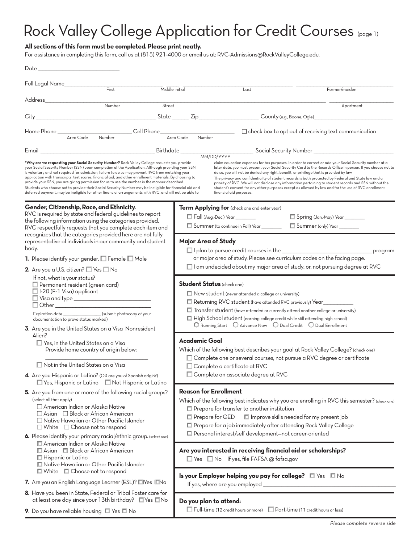# Rock Valley College Application for Credit Courses (page 1)

### **All sections of this form must be completed. Please print neatly.**

For assistance in completing this form, call us at (815) 921-4000 or email us at: RVC-Admissions@RockValleyCollege.edu.

| Full Legal Name_________________<br>$F$ irst<br>Middle initial                                                                                                                                                                                                                                                                                                                                                                                                                                                                                                                                                                                                                                                                          |                                                                                                                                                                                                                                                                                                                                                                                                                     | Last                                                                                                                                                                                                                          | Former/maiden                                                                                                                                                                                                                                                                                                                                                                                                                                                                                                                                                                                                                              |  |
|-----------------------------------------------------------------------------------------------------------------------------------------------------------------------------------------------------------------------------------------------------------------------------------------------------------------------------------------------------------------------------------------------------------------------------------------------------------------------------------------------------------------------------------------------------------------------------------------------------------------------------------------------------------------------------------------------------------------------------------------|---------------------------------------------------------------------------------------------------------------------------------------------------------------------------------------------------------------------------------------------------------------------------------------------------------------------------------------------------------------------------------------------------------------------|-------------------------------------------------------------------------------------------------------------------------------------------------------------------------------------------------------------------------------|--------------------------------------------------------------------------------------------------------------------------------------------------------------------------------------------------------------------------------------------------------------------------------------------------------------------------------------------------------------------------------------------------------------------------------------------------------------------------------------------------------------------------------------------------------------------------------------------------------------------------------------------|--|
| Address and the control of the control of the control of the control of the control of the control of the control of the control of the control of the control of the control of the control of the control of the control of t<br>Number<br>Street                                                                                                                                                                                                                                                                                                                                                                                                                                                                                     |                                                                                                                                                                                                                                                                                                                                                                                                                     |                                                                                                                                                                                                                               | Apartment                                                                                                                                                                                                                                                                                                                                                                                                                                                                                                                                                                                                                                  |  |
|                                                                                                                                                                                                                                                                                                                                                                                                                                                                                                                                                                                                                                                                                                                                         |                                                                                                                                                                                                                                                                                                                                                                                                                     |                                                                                                                                                                                                                               |                                                                                                                                                                                                                                                                                                                                                                                                                                                                                                                                                                                                                                            |  |
|                                                                                                                                                                                                                                                                                                                                                                                                                                                                                                                                                                                                                                                                                                                                         |                                                                                                                                                                                                                                                                                                                                                                                                                     |                                                                                                                                                                                                                               |                                                                                                                                                                                                                                                                                                                                                                                                                                                                                                                                                                                                                                            |  |
| Number Cell Phone                                                                                                                                                                                                                                                                                                                                                                                                                                                                                                                                                                                                                                                                                                                       | Area Code<br>Number                                                                                                                                                                                                                                                                                                                                                                                                 |                                                                                                                                                                                                                               | $\Box$ check box to opt out of receiving text communication                                                                                                                                                                                                                                                                                                                                                                                                                                                                                                                                                                                |  |
|                                                                                                                                                                                                                                                                                                                                                                                                                                                                                                                                                                                                                                                                                                                                         |                                                                                                                                                                                                                                                                                                                                                                                                                     |                                                                                                                                                                                                                               |                                                                                                                                                                                                                                                                                                                                                                                                                                                                                                                                                                                                                                            |  |
| *Why are we requesting your Social Security Number? Rock Valley College requests you provide<br>your Social Security Number (SSN) upon completion of the Application. Although providing your SSN<br>is voluntary and not required for admission, failure to do so may prevent RVC from matching your<br>application with transcripts, test scores, financial aid, and other enrollment materials. By choosing to<br>provide your SSN, you are giving permission for us to use the number in the manner described.<br>Students who choose not to provide their Social Security Number may be ineligible for financial aid and<br>deferred payment, may be ineligible for other financial arrangements with RVC, and will not be able to |                                                                                                                                                                                                                                                                                                                                                                                                                     | financial aid purposes.                                                                                                                                                                                                       | claim education expenses for tax purposes. In order to correct or add your Social Security number at a<br>later date, you must present your Social Security Card to the Records Office in person. If you choose not to<br>do so, you will not be denied any right, benefit, or privilege that is provided by law.<br>The privacy and confidentiality of student records is both protected by Federal and State law and a<br>priority of RVC. We will not disclose any information pertaining to student records and SSN without the<br>student's consent for any other purposes except as allowed by law and for the use of RVC enrollment |  |
| Gender, Citizenship, Race, and Ethnicity.                                                                                                                                                                                                                                                                                                                                                                                                                                                                                                                                                                                                                                                                                               |                                                                                                                                                                                                                                                                                                                                                                                                                     | Term Applying for (check one and enter year)                                                                                                                                                                                  |                                                                                                                                                                                                                                                                                                                                                                                                                                                                                                                                                                                                                                            |  |
| RVC is required by state and federal guidelines to report                                                                                                                                                                                                                                                                                                                                                                                                                                                                                                                                                                                                                                                                               |                                                                                                                                                                                                                                                                                                                                                                                                                     | □ Fall (Aug.-Dec.) Year _________                                                                                                                                                                                             | Spring (Jan.-May) Year _______                                                                                                                                                                                                                                                                                                                                                                                                                                                                                                                                                                                                             |  |
| the following information using the categories provided.<br>RVC respectfully requests that you complete each item and                                                                                                                                                                                                                                                                                                                                                                                                                                                                                                                                                                                                                   |                                                                                                                                                                                                                                                                                                                                                                                                                     | Summer (to continue in Fall) Year ________                                                                                                                                                                                    | Summer (only) Year ________                                                                                                                                                                                                                                                                                                                                                                                                                                                                                                                                                                                                                |  |
| recognizes that the categories provided here are not fully<br>representative of individuals in our community and student                                                                                                                                                                                                                                                                                                                                                                                                                                                                                                                                                                                                                | <b>Major Area of Study</b>                                                                                                                                                                                                                                                                                                                                                                                          |                                                                                                                                                                                                                               |                                                                                                                                                                                                                                                                                                                                                                                                                                                                                                                                                                                                                                            |  |
| body.                                                                                                                                                                                                                                                                                                                                                                                                                                                                                                                                                                                                                                                                                                                                   |                                                                                                                                                                                                                                                                                                                                                                                                                     |                                                                                                                                                                                                                               | program                                                                                                                                                                                                                                                                                                                                                                                                                                                                                                                                                                                                                                    |  |
| <b>1.</b> Please identify your gender. $\square$ Female $\square$ Male                                                                                                                                                                                                                                                                                                                                                                                                                                                                                                                                                                                                                                                                  |                                                                                                                                                                                                                                                                                                                                                                                                                     |                                                                                                                                                                                                                               | or major area of study. Please see curriculum codes on the facing page.                                                                                                                                                                                                                                                                                                                                                                                                                                                                                                                                                                    |  |
| <b>2.</b> Are you a U.S. citizen? $\square$ Yes $\square$ No                                                                                                                                                                                                                                                                                                                                                                                                                                                                                                                                                                                                                                                                            | $\Box$ I am undecided about my major area of study; or, not pursuing degree at RVC                                                                                                                                                                                                                                                                                                                                  |                                                                                                                                                                                                                               |                                                                                                                                                                                                                                                                                                                                                                                                                                                                                                                                                                                                                                            |  |
| If not, what is your status?<br>$\Box$ Permanent resident (green card)<br>$\Box$ I-20 (F-1 Visa) applicant<br>□ Visa and type <u>___________________________</u><br>Expiration date _______________________(submit photocopy of your<br>documentation to prove status marked)                                                                                                                                                                                                                                                                                                                                                                                                                                                           | <b>Student Status</b> (check one)<br>$\Box$ New student (never attended a college or university)<br>Returning RVC student (have attended RVC previously) Year_____________<br>Transfer student (have attended or currently attend another college or university)<br>High School student (earning college credit while still attending high school)<br>O Running Start O Advance Now O Dual Credit O Dual Enrollment |                                                                                                                                                                                                                               |                                                                                                                                                                                                                                                                                                                                                                                                                                                                                                                                                                                                                                            |  |
| 3. Are you in the United States on a Visa Nonresident<br>Alien?                                                                                                                                                                                                                                                                                                                                                                                                                                                                                                                                                                                                                                                                         |                                                                                                                                                                                                                                                                                                                                                                                                                     |                                                                                                                                                                                                                               |                                                                                                                                                                                                                                                                                                                                                                                                                                                                                                                                                                                                                                            |  |
| $\Box$ Yes. in the United States on a Visa<br>Provide home country of origin below:                                                                                                                                                                                                                                                                                                                                                                                                                                                                                                                                                                                                                                                     | <b>Academic Goal</b>                                                                                                                                                                                                                                                                                                                                                                                                |                                                                                                                                                                                                                               | Which of the following best describes your goal at Rock Valley College? (check one)<br>□ Complete one or several courses, not pursue a RVC degree or certificate                                                                                                                                                                                                                                                                                                                                                                                                                                                                           |  |
| $\Box$ Not in the United States on a Visa                                                                                                                                                                                                                                                                                                                                                                                                                                                                                                                                                                                                                                                                                               |                                                                                                                                                                                                                                                                                                                                                                                                                     | □ Complete a certificate at RVC                                                                                                                                                                                               |                                                                                                                                                                                                                                                                                                                                                                                                                                                                                                                                                                                                                                            |  |
| 4. Are you Hispanic or Latino? (OR are you of Spanish origin?)<br>□ Yes, Hispanic or Latino □ Not Hispanic or Latino                                                                                                                                                                                                                                                                                                                                                                                                                                                                                                                                                                                                                    |                                                                                                                                                                                                                                                                                                                                                                                                                     | $\Box$ Complete an associate degree at RVC                                                                                                                                                                                    |                                                                                                                                                                                                                                                                                                                                                                                                                                                                                                                                                                                                                                            |  |
| 5. Are you from one or more of the following racial groups?<br>(select all that apply)<br>□ American Indian or Alaska Native<br>$\Box$ Asian $\Box$ Black or African American<br>Native Hawaiian or Other Pacific Islander<br>$\Box$ White $\Box$ Choose not to respond<br><b>6.</b> Please identify your primary racial/ethnic group. (select one)                                                                                                                                                                                                                                                                                                                                                                                     |                                                                                                                                                                                                                                                                                                                                                                                                                     | <b>Reason for Enrollment</b><br>Prepare for transfer to another institution<br>Prepare for GED<br>Prepare for a job immediately after attending Rock Valley College<br>Personal interest/self development-not career-oriented | Which of the following best indicates why you are enrolling in RVC this semester? (check one)<br>I Improve skills needed for my present job                                                                                                                                                                                                                                                                                                                                                                                                                                                                                                |  |
| American Indian or Alaska Native<br>Asian Black or African American<br>□ Hispanic or Latino<br>Native Hawaiian or Other Pacific Islander<br>□ White □ Choose not to respond                                                                                                                                                                                                                                                                                                                                                                                                                                                                                                                                                             |                                                                                                                                                                                                                                                                                                                                                                                                                     | Are you interested in receiving financial aid or scholarships?<br>□ Yes □ No If yes, file FAFSA @ fafsa.gov                                                                                                                   |                                                                                                                                                                                                                                                                                                                                                                                                                                                                                                                                                                                                                                            |  |
| 7. Are you an English Language Learner (ESL)? Nes No                                                                                                                                                                                                                                                                                                                                                                                                                                                                                                                                                                                                                                                                                    |                                                                                                                                                                                                                                                                                                                                                                                                                     | Is your Employer helping you pay for college? If Yes In No                                                                                                                                                                    |                                                                                                                                                                                                                                                                                                                                                                                                                                                                                                                                                                                                                                            |  |
| 8. Have you been in State, Federal or Tribal Foster care for<br>at least one day since your 13th birthday? Yes No                                                                                                                                                                                                                                                                                                                                                                                                                                                                                                                                                                                                                       | Do you plan to attend:                                                                                                                                                                                                                                                                                                                                                                                              |                                                                                                                                                                                                                               |                                                                                                                                                                                                                                                                                                                                                                                                                                                                                                                                                                                                                                            |  |
| <b>9</b> . Do you have reliable housing $\Box$ Yes $\Box$ No                                                                                                                                                                                                                                                                                                                                                                                                                                                                                                                                                                                                                                                                            |                                                                                                                                                                                                                                                                                                                                                                                                                     | □ Full-time (12 credit hours or more) □ Part-time (11 credit hours or less)                                                                                                                                                   |                                                                                                                                                                                                                                                                                                                                                                                                                                                                                                                                                                                                                                            |  |
|                                                                                                                                                                                                                                                                                                                                                                                                                                                                                                                                                                                                                                                                                                                                         |                                                                                                                                                                                                                                                                                                                                                                                                                     |                                                                                                                                                                                                                               |                                                                                                                                                                                                                                                                                                                                                                                                                                                                                                                                                                                                                                            |  |